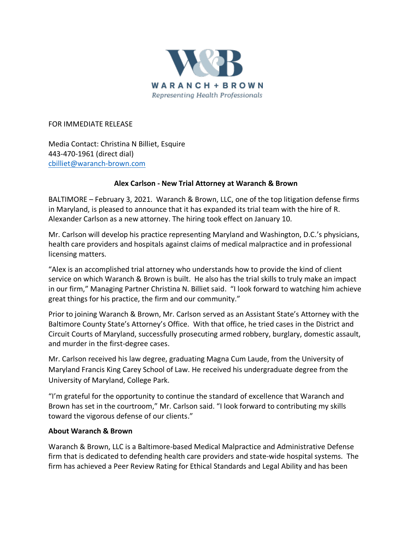

FOR IMMEDIATE RELEASE

Media Contact: Christina N Billiet, Esquire 443-470-1961 (direct dial) [cbilliet@waranch-brown.com](mailto:cbilliet@waranch-brown.com)

## **Alex Carlson - New Trial Attorney at Waranch & Brown**

BALTIMORE – February 3, 2021. Waranch & Brown, LLC, one of the top litigation defense firms in Maryland, is pleased to announce that it has expanded its trial team with the hire of R. Alexander Carlson as a new attorney. The hiring took effect on January 10.

Mr. Carlson will develop his practice representing Maryland and Washington, D.C.'s physicians, health care providers and hospitals against claims of medical malpractice and in professional licensing matters.

"Alex is an accomplished trial attorney who understands how to provide the kind of client service on which Waranch & Brown is built. He also has the trial skills to truly make an impact in our firm," Managing Partner Christina N. Billiet said. "I look forward to watching him achieve great things for his practice, the firm and our community."

Prior to joining Waranch & Brown, Mr. Carlson served as an Assistant State's Attorney with the Baltimore County State's Attorney's Office. With that office, he tried cases in the District and Circuit Courts of Maryland, successfully prosecuting armed robbery, burglary, domestic assault, and murder in the first-degree cases.

Mr. Carlson received his law degree, graduating Magna Cum Laude, from the University of Maryland Francis King Carey School of Law. He received his undergraduate degree from the University of Maryland, College Park.

"I'm grateful for the opportunity to continue the standard of excellence that Waranch and Brown has set in the courtroom," Mr. Carlson said. "I look forward to contributing my skills toward the vigorous defense of our clients."

## **About Waranch & Brown**

Waranch & Brown, LLC is a Baltimore-based Medical Malpractice and Administrative Defense firm that is dedicated to defending health care providers and state-wide hospital systems. The firm has achieved a Peer Review Rating for Ethical Standards and Legal Ability and has been